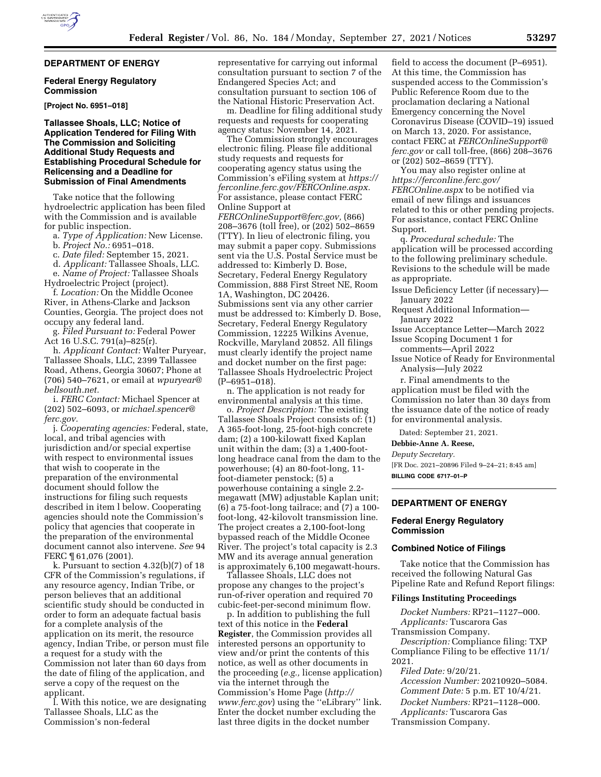# **DEPARTMENT OF ENERGY**

#### **Federal Energy Regulatory Commission**

**[Project No. 6951–018]** 

# **Tallassee Shoals, LLC; Notice of Application Tendered for Filing With The Commission and Soliciting Additional Study Requests and Establishing Procedural Schedule for Relicensing and a Deadline for Submission of Final Amendments**

Take notice that the following hydroelectric application has been filed with the Commission and is available for public inspection.

a. *Type of Application:* New License.

b. *Project No.:* 6951–018.

c. *Date filed:* September 15, 2021.

d. *Applicant:* Tallassee Shoals, LLC. e. *Name of Project:* Tallassee Shoals

Hydroelectric Project (project). f. *Location:* On the Middle Oconee River, in Athens-Clarke and Jackson Counties, Georgia. The project does not occupy any federal land.

g. *Filed Pursuant to:* Federal Power Act 16 U.S.C. 791(a)–825(r).

h. *Applicant Contact:* Walter Puryear, Tallassee Shoals, LLC, 2399 Tallassee Road, Athens, Georgia 30607; Phone at (706) 540–7621, or email at *[wpuryear@](mailto:wpuryear@bellsouth.net) [bellsouth.net.](mailto:wpuryear@bellsouth.net)* 

i. *FERC Contact:* Michael Spencer at (202) 502–6093, or *[michael.spencer@](mailto:michael.spencer@ferc.gov) [ferc.gov.](mailto:michael.spencer@ferc.gov)* 

j. *Cooperating agencies:* Federal, state, local, and tribal agencies with jurisdiction and/or special expertise with respect to environmental issues that wish to cooperate in the preparation of the environmental document should follow the instructions for filing such requests described in item l below. Cooperating agencies should note the Commission's policy that agencies that cooperate in the preparation of the environmental document cannot also intervene. *See* 94 FERC ¶ 61,076 (2001).

k. Pursuant to section 4.32(b)(7) of 18 CFR of the Commission's regulations, if any resource agency, Indian Tribe, or person believes that an additional scientific study should be conducted in order to form an adequate factual basis for a complete analysis of the application on its merit, the resource agency, Indian Tribe, or person must file a request for a study with the Commission not later than 60 days from the date of filing of the application, and serve a copy of the request on the applicant.

l. With this notice, we are designating Tallassee Shoals, LLC as the Commission's non-federal

representative for carrying out informal consultation pursuant to section 7 of the Endangered Species Act; and consultation pursuant to section 106 of the National Historic Preservation Act.

m. Deadline for filing additional study requests and requests for cooperating agency status: November 14, 2021.

The Commission strongly encourages electronic filing. Please file additional study requests and requests for cooperating agency status using the Commission's eFiling system at *[https://](https://ferconline.ferc.gov/FERCOnline.aspx) [ferconline.ferc.gov/FERCOnline.aspx.](https://ferconline.ferc.gov/FERCOnline.aspx)*  For assistance, please contact FERC Online Support at

*[FERCOnlineSupport@ferc.gov,](mailto:FERCOnlineSupport@ferc.gov)* (866) 208–3676 (toll free), or (202) 502–8659 (TTY). In lieu of electronic filing, you may submit a paper copy. Submissions sent via the U.S. Postal Service must be addressed to: Kimberly D. Bose, Secretary, Federal Energy Regulatory Commission, 888 First Street NE, Room 1A, Washington, DC 20426. Submissions sent via any other carrier must be addressed to: Kimberly D. Bose, Secretary, Federal Energy Regulatory Commission, 12225 Wilkins Avenue, Rockville, Maryland 20852. All filings must clearly identify the project name and docket number on the first page: Tallassee Shoals Hydroelectric Project (P–6951–018).

n. The application is not ready for environmental analysis at this time.

o. *Project Description:* The existing Tallassee Shoals Project consists of: (1) A 365-foot-long, 25-foot-high concrete dam; (2) a 100-kilowatt fixed Kaplan unit within the dam; (3) a 1,400-footlong headrace canal from the dam to the powerhouse; (4) an 80-foot-long, 11 foot-diameter penstock; (5) a powerhouse containing a single 2.2 megawatt (MW) adjustable Kaplan unit; (6) a 75-foot-long tailrace; and (7) a 100 foot-long, 42-kilovolt transmission line. The project creates a 2,100-foot-long bypassed reach of the Middle Oconee River. The project's total capacity is 2.3 MW and its average annual generation is approximately 6,100 megawatt-hours.

Tallassee Shoals, LLC does not propose any changes to the project's run-of-river operation and required 70 cubic-feet-per-second minimum flow.

p. In addition to publishing the full text of this notice in the **Federal Register**, the Commission provides all interested persons an opportunity to view and/or print the contents of this notice, as well as other documents in the proceeding (*e.g.,* license application) via the internet through the Commission's Home Page (*[http://](http://www.ferc.gov) [www.ferc.gov](http://www.ferc.gov)*) using the ''eLibrary'' link. Enter the docket number excluding the last three digits in the docket number

field to access the document (P–6951). At this time, the Commission has suspended access to the Commission's Public Reference Room due to the proclamation declaring a National Emergency concerning the Novel Coronavirus Disease (COVID–19) issued on March 13, 2020. For assistance, contact FERC at *[FERCOnlineSupport@](mailto:FERCOnlineSupport@ferc.gov) [ferc.gov](mailto:FERCOnlineSupport@ferc.gov)* or call toll-free, (866) 208–3676 or (202) 502–8659 (TTY).

You may also register online at *[https://ferconline.ferc.gov/](https://ferconline.ferc.gov/FERCOnline.aspx) [FERCOnline.aspx](https://ferconline.ferc.gov/FERCOnline.aspx)* to be notified via email of new filings and issuances related to this or other pending projects. For assistance, contact FERC Online Support.

q. *Procedural schedule:* The application will be processed according to the following preliminary schedule. Revisions to the schedule will be made as appropriate.

Issue Deficiency Letter (if necessary)— January 2022

- Request Additional Information— January 2022
- Issue Acceptance Letter—March 2022 Issue Scoping Document 1 for

comments—April 2022

Issue Notice of Ready for Environmental Analysis—July 2022

r. Final amendments to the application must be filed with the Commission no later than 30 days from the issuance date of the notice of ready for environmental analysis.

Dated: September 21, 2021.

#### **Debbie-Anne A. Reese,**

*Deputy Secretary.* 

[FR Doc. 2021–20896 Filed 9–24–21; 8:45 am] **BILLING CODE 6717–01–P** 

# **DEPARTMENT OF ENERGY**

### **Federal Energy Regulatory Commission**

# **Combined Notice of Filings**

Take notice that the Commission has received the following Natural Gas Pipeline Rate and Refund Report filings:

### **Filings Instituting Proceedings**

*Docket Numbers:* RP21–1127–000. *Applicants:* Tuscarora Gas Transmission Company. *Description:* Compliance filing: TXP Compliance Filing to be effective 11/1/ 2021. *Filed Date:* 9/20/21. *Accession Number:* 20210920–5084.

*Comment Date:* 5 p.m. ET 10/4/21. *Docket Numbers:* RP21–1128–000. *Applicants:* Tuscarora Gas

Transmission Company.